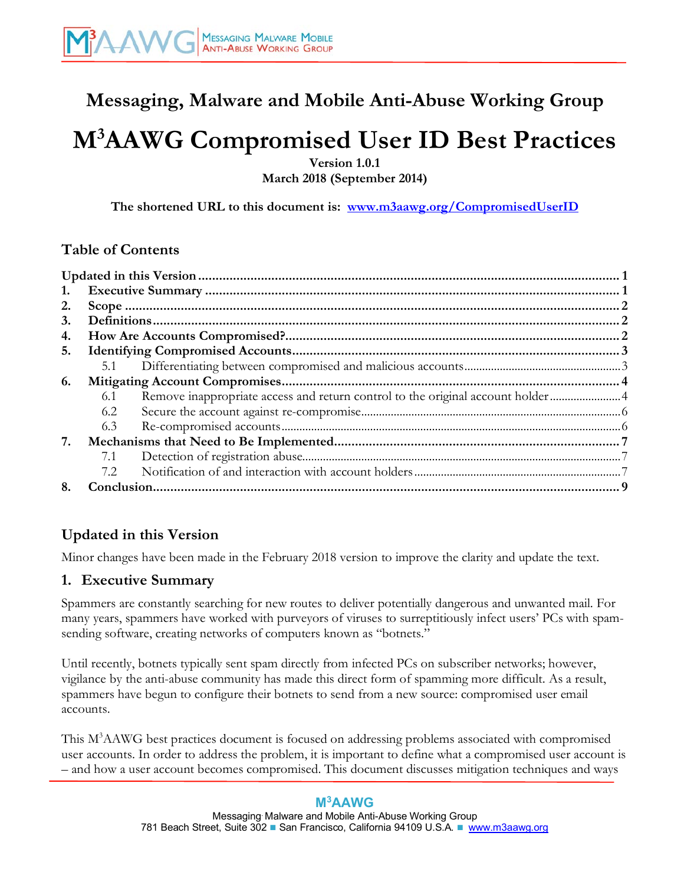## **Messaging, Malware and Mobile Anti-Abuse Working Group**

# **M3 AAWG Compromised User ID Best Practices**

**Version 1.0.1 March 2018 (September 2014)**

**The shortened URL to this document is: [www.m3aawg.org/CompromisedUserID](http://www.m3aawg.org/CompromisedUserID)**

## **[Table of Contents](http://www.m3aawg.org/CompromisedUserID)**

| 1. |     |                                                                                |  |
|----|-----|--------------------------------------------------------------------------------|--|
| 2. |     |                                                                                |  |
| 3. |     |                                                                                |  |
| 4. |     |                                                                                |  |
| 5. |     |                                                                                |  |
|    | 5.1 |                                                                                |  |
| 6. |     |                                                                                |  |
|    | 6.1 | Remove inappropriate access and return control to the original account holder4 |  |
|    | 6.2 |                                                                                |  |
|    | 6.3 |                                                                                |  |
| 7. |     |                                                                                |  |
|    | 7.1 |                                                                                |  |
|    | 7.2 |                                                                                |  |
|    |     |                                                                                |  |

## <span id="page-0-0"></span>**[Updated in this Version](#page-6-2)**

[Minor changes ha](#page-6-2)ve been made in the February 2018 version to improve the clarity and update the text.

## <span id="page-0-1"></span>**1. Executive Summary**

Spammers are constantly searching for new routes to deliver potentially dangerous and unwanted mail. For many years, spammers have worked with purveyors of viruses to surreptitiously infect users' PCs with spamsending software, creating networks of computers known as "botnets."

Until recently, botnets typically sent spam directly from infected PCs on subscriber networks; however, vigilance by the anti-abuse community has made this direct form of spamming more difficult. As a result, spammers have begun to configure their botnets to send from a new source: compromised user email accounts.

This M<sup>3</sup>AAWG best practices document is focused on addressing problems associated with compromised user accounts. In order to address the problem, it is important to define what a compromised user account is – and how a user account becomes compromised. This document discusses mitigation techniques and ways

#### **M3AAWG**

Messaging. Malware and Mobile Anti-Abuse Working Group 781 Beach Street, Suite 302 **■ San Francisco, California 94109 U.S.A. ■** www.m3aaw[g](https://www.m3aawg.org/).org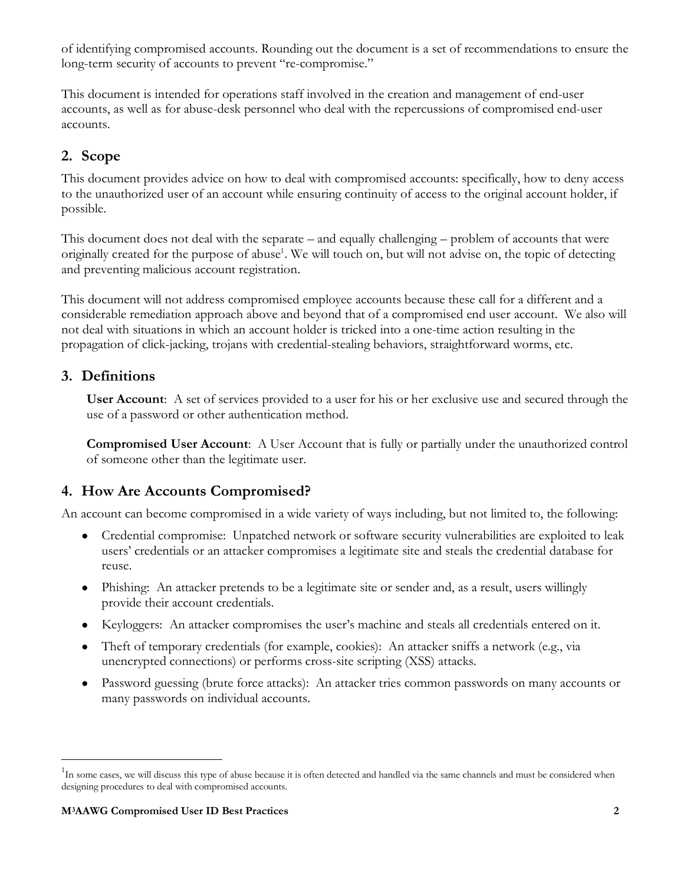of identifying compromised accounts. Rounding out the document is a set of recommendations to ensure the long-term security of accounts to prevent "re-compromise."

This document is intended for operations staff involved in the creation and management of end-user accounts, as well as for abuse-desk personnel who deal with the repercussions of compromised end-user accounts.

## <span id="page-1-0"></span>**2. Scope**

This document provides advice on how to deal with compromised accounts: specifically, how to deny access to the unauthorized user of an account while ensuring continuity of access to the original account holder, if possible.

This document does not deal with the separate – and equally challenging – problem of accounts that were originally created for the purpose of abuse<sup>1</sup>. We will touch on, but will not advise on, the topic of detecting and preventing malicious account registration.

This document will not address compromised employee accounts because these call for a different and a considerable remediation approach above and beyond that of a compromised end user account. We also will not deal with situations in which an account holder is tricked into a one-time action resulting in the propagation of click-jacking, trojans with credential-stealing behaviors, straightforward worms, etc.

## **3. Definitions**

<span id="page-1-1"></span>**User Account**: A set of services provided to a user for his or her exclusive use and secured through the use of a password or other authentication method.

<span id="page-1-2"></span>**Compromised User Account**: A User Account that is fully or partially under the unauthorized control of someone other than the legitimate user.

## **4. How Are Accounts Compromised?**

An account can become compromised in a wide variety of ways including, but not limited to, the following:

- Credential compromise: Unpatched network or software security vulnerabilities are exploited to leak users' credentials or an attacker compromises a legitimate site and steals the credential database for reuse.
- Phishing: An attacker pretends to be a legitimate site or sender and, as a result, users willingly provide their account credentials.
- Keyloggers: An attacker compromises the user's machine and steals all credentials entered on it.
- Theft of temporary credentials (for example, cookies): An attacker sniffs a network (e.g., via unencrypted connections) or performs cross-site scripting (XSS) attacks.
- Password guessing (brute force attacks): An attacker tries common passwords on many accounts or many passwords on individual accounts.

-

<sup>&</sup>lt;sup>1</sup>In some cases, we will discuss this type of abuse because it is often detected and handled via the same channels and must be considered when designing procedures to deal with compromised accounts.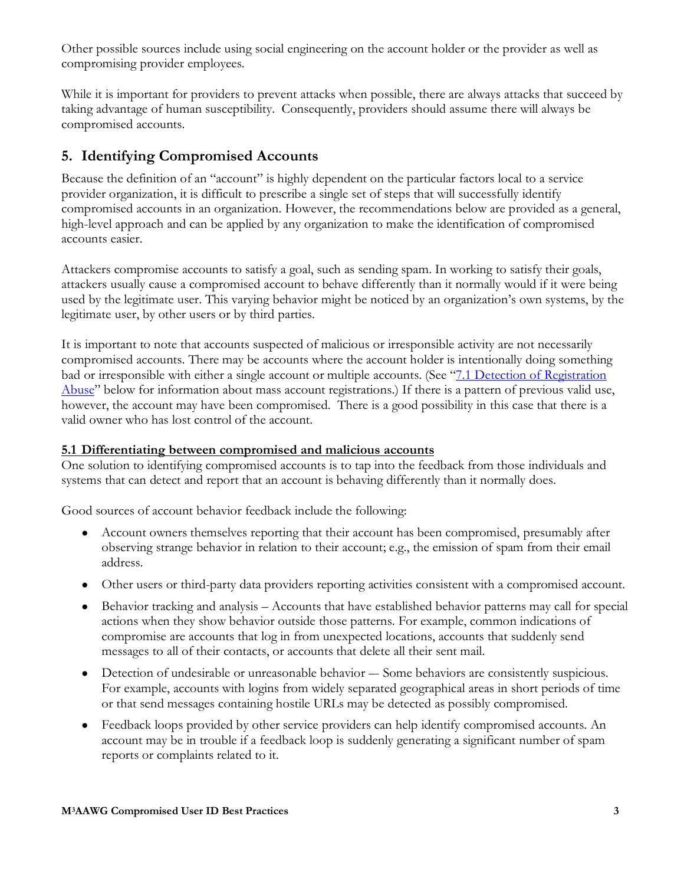Other possible sources include using social engineering on the account holder or the provider as well as compromising provider employees.

While it is important for providers to prevent attacks when possible, there are always attacks that succeed by taking advantage of human susceptibility. Consequently, providers should assume there will always be compromised accounts.

## <span id="page-2-0"></span>**5. Identifying Compromised Accounts**

Because the definition of an "account" is highly dependent on the particular factors local to a service provider organization, it is difficult to prescribe a single set of steps that will successfully identify compromised accounts in an organization. However, the recommendations below are provided as a general, high-level approach and can be applied by any organization to make the identification of compromised accounts easier.

Attackers compromise accounts to satisfy a goal, such as sending spam. In working to satisfy their goals, attackers usually cause a compromised account to behave differently than it normally would if it were being used by the legitimate user. This varying behavior might be noticed by an organization's own systems, by the legitimate user, by other users or by third parties.

It is important to note that accounts suspected of malicious or irresponsible activity are not necessarily compromised accounts. There may be accounts where the account holder is intentionally doing something bad or irresponsible with either a single account or multiple accounts. (See "7.1 Detection of Registration [Abuse"](#page-6-3) below for information about mass account registrations.) If there is a pattern of previous valid use, however, the account may have been compromised. There is a good possibility in this case that there is a valid owner who has lost control of the account.

#### **5.1 Differentiating between compromised and malicious accounts**

One solution to identifying compromised accounts is to tap into the feedback from those individuals and systems that can detect and report that an account is behaving differently than it normally does.

Good sources of account behavior feedback include the following:

- <span id="page-2-1"></span>• Account owners themselves reporting that their account has been compromised, presumably after observing strange behavior in relation to their account; e.g., the emission of spam from their email address.
- Other users or third-party data providers reporting activities consistent with a compromised account.
- Behavior tracking and analysis Accounts that have established behavior patterns may call for special actions when they show behavior outside those patterns. For example, common indications of compromise are accounts that log in from unexpected locations, accounts that suddenly send messages to all of their contacts, or accounts that delete all their sent mail.
- Detection of undesirable or unreasonable behavior –- Some behaviors are consistently suspicious. For example, accounts with logins from widely separated geographical areas in short periods of time or that send messages containing hostile URLs may be detected as possibly compromised.
- Feedback loops provided by other service providers can help identify compromised accounts. An account may be in trouble if a feedback loop is suddenly generating a significant number of spam reports or complaints related to it.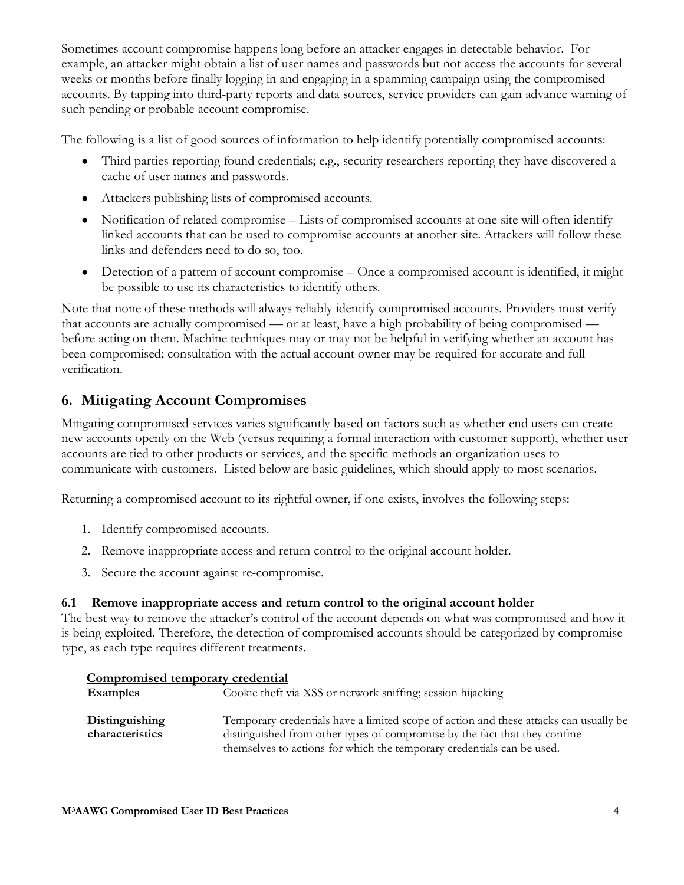Sometimes account compromise happens long before an attacker engages in detectable behavior. For example, an attacker might obtain a list of user names and passwords but not access the accounts for several weeks or months before finally logging in and engaging in a spamming campaign using the compromised accounts. By tapping into third-party reports and data sources, service providers can gain advance warning of such pending or probable account compromise.

The following is a list of good sources of information to help identify potentially compromised accounts:

- Third parties reporting found credentials; e.g., security researchers reporting they have discovered a cache of user names and passwords.
- Attackers publishing lists of compromised accounts.
- Notification of related compromise Lists of compromised accounts at one site will often identify linked accounts that can be used to compromise accounts at another site. Attackers will follow these links and defenders need to do so, too.
- Detection of a pattern of account compromise Once a compromised account is identified, it might be possible to use its characteristics to identify others.

Note that none of these methods will always reliably identify compromised accounts. Providers must verify that accounts are actually compromised — or at least, have a high probability of being compromised before acting on them. Machine techniques may or may not be helpful in verifying whether an account has been compromised; consultation with the actual account owner may be required for accurate and full verification.

## <span id="page-3-0"></span>**6. Mitigating Account Compromises**

Mitigating compromised services varies significantly based on factors such as whether end users can create new accounts openly on the Web (versus requiring a formal interaction with customer support), whether user accounts are tied to other products or services, and the specific methods an organization uses to communicate with customers. Listed below are basic guidelines, which should apply to most scenarios.

Returning a compromised account to its rightful owner, if one exists, involves the following steps:

- 1. Identify compromised accounts.
- 2. Remove inappropriate access and return control to the original account holder.
- <span id="page-3-1"></span>3. Secure the account against re-compromise.

#### **6.1 Remove inappropriate access and return control to the original account holder**

The best way to remove the attacker's control of the account depends on what was compromised and how it is being exploited. Therefore, the detection of compromised accounts should be categorized by compromise type, as each type requires different treatments.

| Compromised temporary credential  |                                                                                                                                                                     |  |
|-----------------------------------|---------------------------------------------------------------------------------------------------------------------------------------------------------------------|--|
| <b>Examples</b>                   | Cookie theft via XSS or network snifting; session hijacking                                                                                                         |  |
| Distinguishing<br>characteristics | Temporary credentials have a limited scope of action and these attacks can usually be<br>distinguished from other types of compromise by the fact that they confine |  |
|                                   | themselves to actions for which the temporary credentials can be used.                                                                                              |  |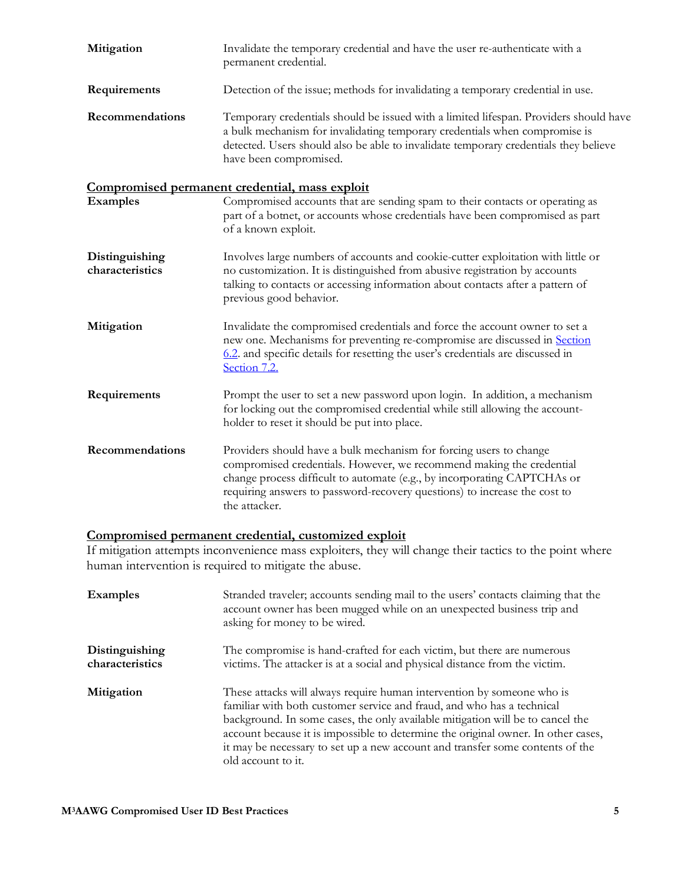| Mitigation                        | Invalidate the temporary credential and have the user re-authenticate with a<br>permanent credential.                                                                                                                                                                                                                |
|-----------------------------------|----------------------------------------------------------------------------------------------------------------------------------------------------------------------------------------------------------------------------------------------------------------------------------------------------------------------|
| Requirements                      | Detection of the issue; methods for invalidating a temporary credential in use.                                                                                                                                                                                                                                      |
| Recommendations                   | Temporary credentials should be issued with a limited lifespan. Providers should have<br>a bulk mechanism for invalidating temporary credentials when compromise is<br>detected. Users should also be able to invalidate temporary credentials they believe<br>have been compromised.                                |
|                                   | Compromised permanent credential, mass exploit                                                                                                                                                                                                                                                                       |
| <b>Examples</b>                   | Compromised accounts that are sending spam to their contacts or operating as<br>part of a botnet, or accounts whose credentials have been compromised as part<br>of a known exploit.                                                                                                                                 |
| Distinguishing<br>characteristics | Involves large numbers of accounts and cookie-cutter exploitation with little or<br>no customization. It is distinguished from abusive registration by accounts<br>talking to contacts or accessing information about contacts after a pattern of<br>previous good behavior.                                         |
| Mitigation                        | Invalidate the compromised credentials and force the account owner to set a<br>new one. Mechanisms for preventing re-compromise are discussed in Section<br>6.2. and specific details for resetting the user's credentials are discussed in<br>Section 7.2.                                                          |
| Requirements                      | Prompt the user to set a new password upon login. In addition, a mechanism<br>for locking out the compromised credential while still allowing the account-<br>holder to reset it should be put into place.                                                                                                           |
| Recommendations                   | Providers should have a bulk mechanism for forcing users to change<br>compromised credentials. However, we recommend making the credential<br>change process difficult to automate (e.g., by incorporating CAPTCHAs or<br>requiring answers to password-recovery questions) to increase the cost to<br>the attacker. |

#### <span id="page-4-0"></span>**Compromised permanent credential, customized exploit**

If mitigation attempts inconvenience mass exploiters, they will change their tactics to the point where human intervention is required to mitigate the abuse.

| <b>Examples</b>                   | Stranded traveler; accounts sending mail to the users' contacts claiming that the<br>account owner has been mugged while on an unexpected business trip and<br>asking for money to be wired.                                                                                                                                                                                                                                   |
|-----------------------------------|--------------------------------------------------------------------------------------------------------------------------------------------------------------------------------------------------------------------------------------------------------------------------------------------------------------------------------------------------------------------------------------------------------------------------------|
| Distinguishing<br>characteristics | The compromise is hand-crafted for each victim, but there are numerous<br>victims. The attacker is at a social and physical distance from the victim.                                                                                                                                                                                                                                                                          |
| Mitigation                        | These attacks will always require human intervention by someone who is<br>familiar with both customer service and fraud, and who has a technical<br>background. In some cases, the only available mitigation will be to cancel the<br>account because it is impossible to determine the original owner. In other cases,<br>it may be necessary to set up a new account and transfer some contents of the<br>old account to it. |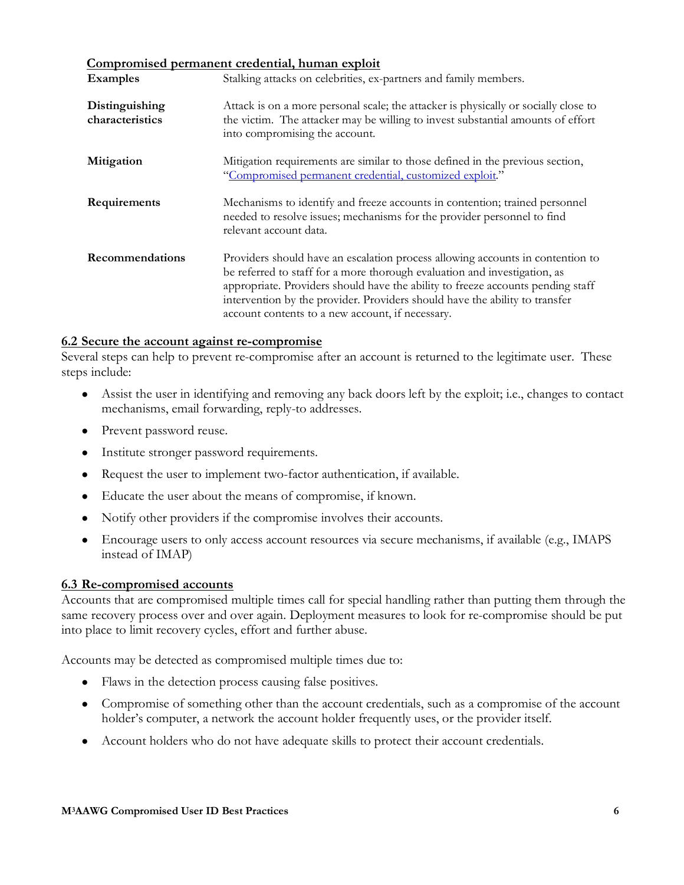#### <span id="page-5-3"></span>**Compromised permanent credential, human exploit**

| <b>Examples</b>                   | <u>оониртопносы регимнент егесеситим паппан еприоте</u><br>Stalking attacks on celebrities, ex-partners and family members.                                                                                                                                                                                                                                                       |
|-----------------------------------|-----------------------------------------------------------------------------------------------------------------------------------------------------------------------------------------------------------------------------------------------------------------------------------------------------------------------------------------------------------------------------------|
| Distinguishing<br>characteristics | Attack is on a more personal scale; the attacker is physically or socially close to<br>the victim. The attacker may be willing to invest substantial amounts of effort<br>into compromising the account.                                                                                                                                                                          |
| Mitigation                        | Mitigation requirements are similar to those defined in the previous section,<br>"Compromised permanent credential, customized exploit."                                                                                                                                                                                                                                          |
| Requirements                      | Mechanisms to identify and freeze accounts in contention; trained personnel<br>needed to resolve issues; mechanisms for the provider personnel to find<br>relevant account data.                                                                                                                                                                                                  |
| Recommendations                   | Providers should have an escalation process allowing accounts in contention to<br>be referred to staff for a more thorough evaluation and investigation, as<br>appropriate. Providers should have the ability to freeze accounts pending staff<br>intervention by the provider. Providers should have the ability to transfer<br>account contents to a new account, if necessary. |

#### <span id="page-5-2"></span>**6.2 Secure the account against re-compromise**

Several steps can help to prevent re-compromise after an account is returned to the legitimate user. These steps include:

- <span id="page-5-0"></span>● Assist the user in identifying and removing any back doors left by the exploit; i.e., changes to contact mechanisms, email forwarding, reply-to addresses.
- Prevent password reuse.
- Institute stronger password requirements.
- Request the user to implement two-factor authentication, if available.
- Educate the user about the means of compromise, if known.
- Notify other providers if the compromise involves their accounts.
- <span id="page-5-1"></span>• Encourage users to only access account resources via secure mechanisms, if available (e.g., IMAPS) instead of IMAP)

#### **6.3 Re-compromised accounts**

Accounts that are compromised multiple times call for special handling rather than putting them through the same recovery process over and over again. Deployment measures to look for re-compromise should be put into place to limit recovery cycles, effort and further abuse.

Accounts may be detected as compromised multiple times due to:

- Flaws in the detection process causing false positives.
- Compromise of something other than the account credentials, such as a compromise of the account holder's computer, a network the account holder frequently uses, or the provider itself.
- Account holders who do not have adequate skills to protect their account credentials.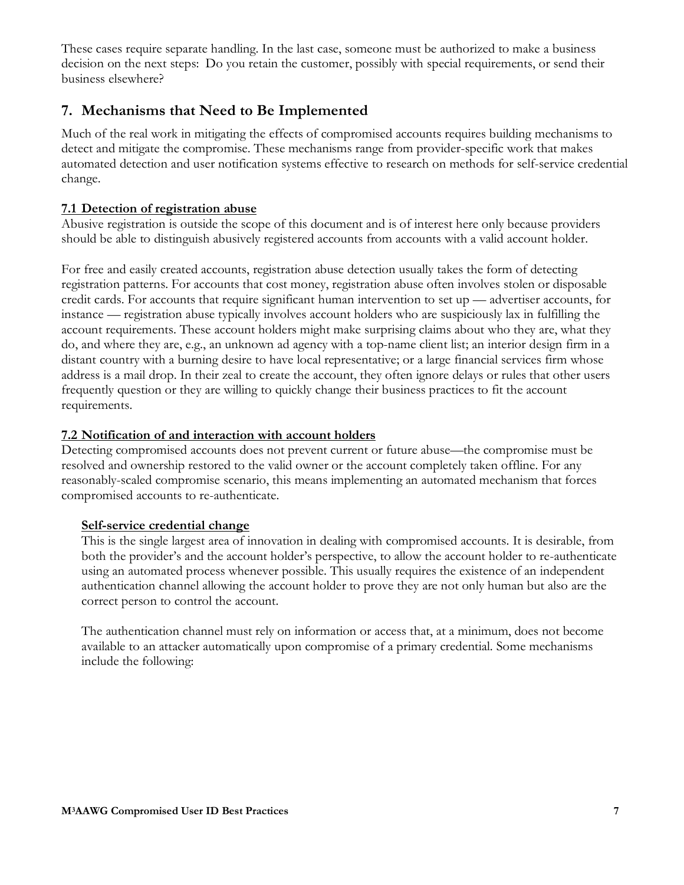<span id="page-6-3"></span>These cases require separate handling. In the last case, someone must be authorized to make a business decision on the next steps: Do you retain the customer, possibly with special requirements, or send their business elsewhere?

## <span id="page-6-0"></span>**7. Mechanisms that Need to Be Implemented**

Much of the real work in mitigating the effects of compromised accounts requires building mechanisms to detect and mitigate the compromise. These mechanisms range from provider-specific work that makes automated detection and user notification systems effective to research on methods for self-service credential change.

#### **7.1 Detection of registration abuse**

<span id="page-6-1"></span>Abusive registration is outside the scope of this document and is of interest here only because providers should be able to distinguish abusively registered accounts from accounts with a valid account holder.

For free and easily created accounts, registration abuse detection usually takes the form of detecting registration patterns. For accounts that cost money, registration abuse often involves stolen or disposable credit cards. For accounts that require significant human intervention to set up — advertiser accounts, for instance — registration abuse typically involves account holders who are suspiciously lax in fulfilling the account requirements. These account holders might make surprising claims about who they are, what they do, and where they are, e.g., an unknown ad agency with a top-name client list; an interior design firm in a distant country with a burning desire to have local representative; or a large financial services firm whose address is a mail drop. In their zeal to create the account, they often ignore delays or rules that other users frequently question or they are willing to quickly change their business practices to fit the account requirements.

#### <span id="page-6-4"></span>**7.2 Notification of and interaction with account holders**

Detecting compromised accounts does not prevent current or future abuse—the compromise must be resolved and ownership restored to the valid owner or the account completely taken offline. For any reasonably-scaled compromise scenario, this means implementing an automated mechanism that forces compromised accounts to re-authenticate.

#### <span id="page-6-2"></span>**Self-service credential change**

This is the single largest area of innovation in dealing with compromised accounts. It is desirable, from both the provider's and the account holder's perspective, to allow the account holder to re-authenticate using an automated process whenever possible. This usually requires the existence of an independent authentication channel allowing the account holder to prove they are not only human but also are the correct person to control the account.

The authentication channel must rely on information or access that, at a minimum, does not become available to an attacker automatically upon compromise of a primary credential. Some mechanisms include the following: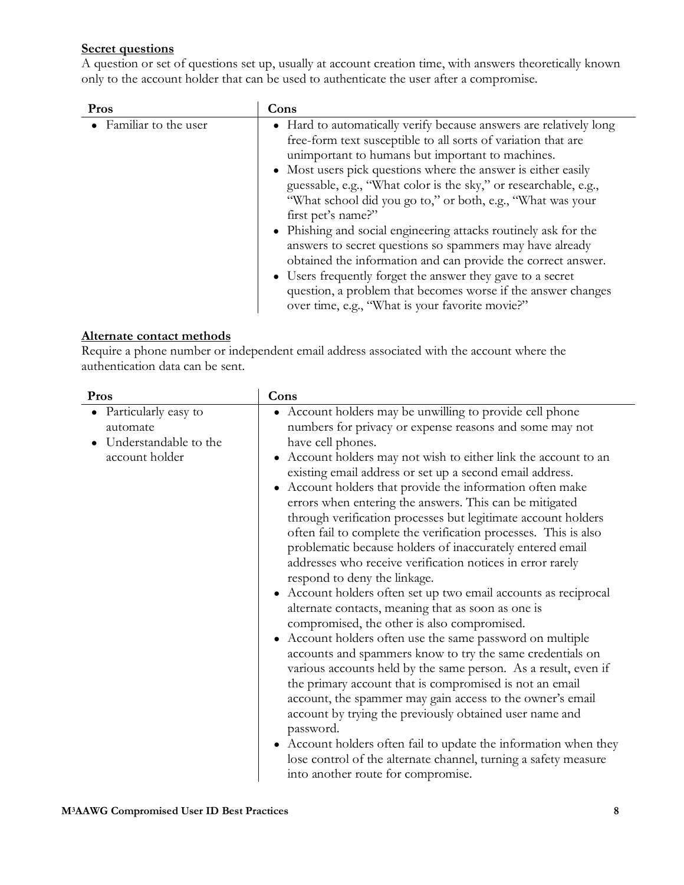#### **Secret questions**

A question or set of questions set up, usually at account creation time, with answers theoretically known only to the account holder that can be used to authenticate the user after a compromise.

| Pros                   | Cons                                                               |
|------------------------|--------------------------------------------------------------------|
| • Familiar to the user | • Hard to automatically verify because answers are relatively long |
|                        | free-form text susceptible to all sorts of variation that are      |
|                        | unimportant to humans but important to machines.                   |
|                        | • Most users pick questions where the answer is either easily      |
|                        | guessable, e.g., "What color is the sky," or researchable, e.g.,   |
|                        | "What school did you go to," or both, e.g., "What was your"        |
|                        | first pet's name?"                                                 |
|                        | • Phishing and social engineering attacks routinely ask for the    |
|                        | answers to secret questions so spammers may have already           |
|                        | obtained the information and can provide the correct answer.       |
|                        | • Users frequently forget the answer they gave to a secret         |
|                        | question, a problem that becomes worse if the answer changes       |
|                        | over time, e.g., "What is your favorite movie?"                    |

#### **Alternate contact methods**

Require a phone number or independent email address associated with the account where the authentication data can be sent.

| Pros                                                                        | Cons                                                                                                                                                                                                                                                                                                                                                                                                                                                                                                                                                                                                                                                                                                                                                                                                                                                                                                                                                                                                                                                                                                                                                                                                                                                                                                                                                                                                                                          |
|-----------------------------------------------------------------------------|-----------------------------------------------------------------------------------------------------------------------------------------------------------------------------------------------------------------------------------------------------------------------------------------------------------------------------------------------------------------------------------------------------------------------------------------------------------------------------------------------------------------------------------------------------------------------------------------------------------------------------------------------------------------------------------------------------------------------------------------------------------------------------------------------------------------------------------------------------------------------------------------------------------------------------------------------------------------------------------------------------------------------------------------------------------------------------------------------------------------------------------------------------------------------------------------------------------------------------------------------------------------------------------------------------------------------------------------------------------------------------------------------------------------------------------------------|
| Particularly easy to<br>automate<br>Understandable to the<br>account holder | • Account holders may be unwilling to provide cell phone<br>numbers for privacy or expense reasons and some may not<br>have cell phones.<br>Account holders may not wish to either link the account to an<br>existing email address or set up a second email address.<br>• Account holders that provide the information often make<br>errors when entering the answers. This can be mitigated<br>through verification processes but legitimate account holders<br>often fail to complete the verification processes. This is also<br>problematic because holders of inaccurately entered email<br>addresses who receive verification notices in error rarely<br>respond to deny the linkage.<br>• Account holders often set up two email accounts as reciprocal<br>alternate contacts, meaning that as soon as one is<br>compromised, the other is also compromised.<br>• Account holders often use the same password on multiple<br>accounts and spammers know to try the same credentials on<br>various accounts held by the same person. As a result, even if<br>the primary account that is compromised is not an email<br>account, the spammer may gain access to the owner's email<br>account by trying the previously obtained user name and<br>password.<br>• Account holders often fail to update the information when they<br>lose control of the alternate channel, turning a safety measure<br>into another route for compromise. |

 $\overline{\phantom{a}}$